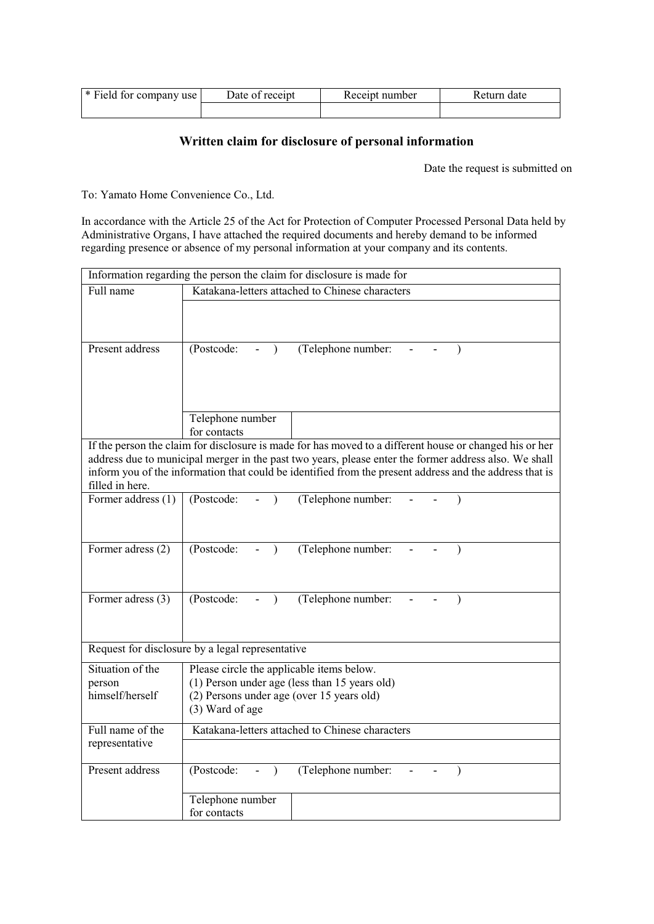| * Field for company use | Date of receipt | Receipt number | Return date |
|-------------------------|-----------------|----------------|-------------|
|                         |                 |                |             |

## Written claim for disclosure of personal information

Date the request is submitted on

To: Yamato Home Convenience Co., Ltd.

In accordance with the Article 25 of the Act for Protection of Computer Processed Personal Data held by Administrative Organs, I have attached the required documents and hereby demand to be informed regarding presence or absence of my personal information at your company and its contents.

| Information regarding the person the claim for disclosure is made for                                                                                                                                            |                                                                                            |  |  |  |
|------------------------------------------------------------------------------------------------------------------------------------------------------------------------------------------------------------------|--------------------------------------------------------------------------------------------|--|--|--|
| Full name                                                                                                                                                                                                        | Katakana-letters attached to Chinese characters                                            |  |  |  |
|                                                                                                                                                                                                                  |                                                                                            |  |  |  |
|                                                                                                                                                                                                                  |                                                                                            |  |  |  |
| Present address                                                                                                                                                                                                  | (Telephone number:<br>(Postcode:<br>$\lambda$                                              |  |  |  |
|                                                                                                                                                                                                                  |                                                                                            |  |  |  |
|                                                                                                                                                                                                                  |                                                                                            |  |  |  |
|                                                                                                                                                                                                                  |                                                                                            |  |  |  |
|                                                                                                                                                                                                                  | Telephone number                                                                           |  |  |  |
|                                                                                                                                                                                                                  | for contacts                                                                               |  |  |  |
| If the person the claim for disclosure is made for has moved to a different house or changed his or her                                                                                                          |                                                                                            |  |  |  |
| address due to municipal merger in the past two years, please enter the former address also. We shall<br>inform you of the information that could be identified from the present address and the address that is |                                                                                            |  |  |  |
| filled in here.                                                                                                                                                                                                  |                                                                                            |  |  |  |
| Former address (1)                                                                                                                                                                                               | (Postcode:<br>(Telephone number:<br>$\lambda$                                              |  |  |  |
|                                                                                                                                                                                                                  |                                                                                            |  |  |  |
|                                                                                                                                                                                                                  |                                                                                            |  |  |  |
| Former adress (2)                                                                                                                                                                                                | (Postcode:<br>(Telephone number:<br>$\frac{1}{2}$<br>$\lambda$                             |  |  |  |
|                                                                                                                                                                                                                  |                                                                                            |  |  |  |
|                                                                                                                                                                                                                  |                                                                                            |  |  |  |
| Former adress (3)                                                                                                                                                                                                | (Telephone number:<br>(Postcode:<br>$\lambda$                                              |  |  |  |
|                                                                                                                                                                                                                  |                                                                                            |  |  |  |
| Request for disclosure by a legal representative                                                                                                                                                                 |                                                                                            |  |  |  |
|                                                                                                                                                                                                                  |                                                                                            |  |  |  |
| Situation of the<br>person                                                                                                                                                                                       | Please circle the applicable items below.                                                  |  |  |  |
| himself/herself                                                                                                                                                                                                  | (1) Person under age (less than 15 years old)<br>(2) Persons under age (over 15 years old) |  |  |  |
|                                                                                                                                                                                                                  | (3) Ward of age                                                                            |  |  |  |
| Full name of the                                                                                                                                                                                                 | Katakana-letters attached to Chinese characters                                            |  |  |  |
| representative                                                                                                                                                                                                   |                                                                                            |  |  |  |
| Present address                                                                                                                                                                                                  | (Postcode:                                                                                 |  |  |  |
|                                                                                                                                                                                                                  | (Telephone number:<br>$\lambda$<br>$\qquad \qquad \blacksquare$<br>$\lambda$               |  |  |  |
|                                                                                                                                                                                                                  | Telephone number                                                                           |  |  |  |
|                                                                                                                                                                                                                  | for contacts                                                                               |  |  |  |